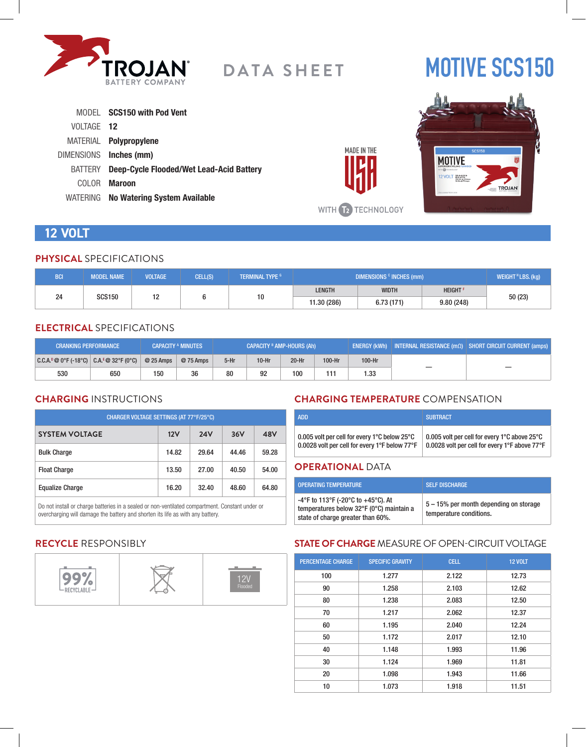

# **MOTIVE SCS150**

|            | MODEL SCS150 with Pod Vent               |
|------------|------------------------------------------|
| VOLTAGE 12 |                                          |
|            | MATERIAL <b>Polypropylene</b>            |
|            | DIMENSIONS Inches (mm)                   |
| BATTERY    | Deep-Cycle Flooded/Wet Lead-Acid Battery |
| COLOR.     | <b>Maroon</b>                            |
|            | WATERING No Watering System Available    |



# **12 VOLT**

#### **PHYSICAL** SPECIFICATIONS

| <b>BCI</b>          | <b>MODEL NAME</b> | <b>VOLTAGE</b> | CELL(S)     | <b>TERMINAL TYPE 6</b> | DIMENSIONS <sup>c</sup> INCHES (mm) |              |                            | WEIGHT <sup>H</sup> LBS. (kg) |
|---------------------|-------------------|----------------|-------------|------------------------|-------------------------------------|--------------|----------------------------|-------------------------------|
|                     |                   | 10             |             |                        | <b>LENGTH</b>                       | <b>WIDTH</b> | <b>HEIGHT</b> <sup>F</sup> |                               |
| 24<br><b>SCS150</b> |                   | 10             | 11.30 (286) | 6.73(171)              | 9.80(248)                           | 50(23)       |                            |                               |

# **ELECTRICAL** SPECIFICATIONS

| <b>CRANKING PERFORMANCE</b>               |     |            | <b>CAPACITY A MINUTES</b> | CAPACITY <sup>B</sup> AMP-HOURS (Ah) |         |         | <b>ENERGY (kWh)</b> INTERNAL RESISTANCE ( $m\Omega$ ) SHORT CIRCUIT CURRENT (amps) |        |  |
|-------------------------------------------|-----|------------|---------------------------|--------------------------------------|---------|---------|------------------------------------------------------------------------------------|--------|--|
| $ C.C.A.^0@0°F(-18°C)  C.A.^E@32°F(0°C) $ |     | $@25$ Amps | @ 75 Amps                 | $5-Hr$                               | $10-Hr$ | $20-Hr$ | 100-Hr                                                                             | 100-Hr |  |
| 530                                       | 650 | 150        | 36                        | 80                                   | 92      | 100     | 111                                                                                | 1.33   |  |

# **CHARGING** INSTRUCTIONS

| CHARGER VOLTAGE SETTINGS (AT 77°F/25°C) |       |            |       |       |  |  |
|-----------------------------------------|-------|------------|-------|-------|--|--|
| <b>SYSTEM VOLTAGE</b>                   | 12V   | <b>24V</b> | 36V   | 48V   |  |  |
| <b>Bulk Charge</b>                      | 14.82 | 29.64      | 44.46 | 59.28 |  |  |
| <b>Float Charge</b>                     | 13.50 | 27.00      | 40.50 | 54.00 |  |  |
| <b>Equalize Charge</b>                  | 16.20 | 32.40      | 48.60 | 64.80 |  |  |

Do not install or charge batteries in a sealed or non-ventilated compartment. Constant under or overcharging will damage the battery and shorten its life as with any battery.

# **CHARGING TEMPERATURE** COMPENSATION

| 0.005 volt per cell for every 1 $^{\circ}$ C below 25 $^{\circ}$ C | 0.005 volt per cell for every 1°C above 25°C  |
|--------------------------------------------------------------------|-----------------------------------------------|
| 0.0028 volt per cell for every 1°F below 77°F                      | 0.0028 volt per cell for every 1°F above 77°F |

#### **OPERATIONAL** DATA

**MADE IN THE** 

WITH **12** TECHNOLOGY

| <b>OPERATING TEMPERATURE</b>                                                                                        | <b>SELF DISCHARGE</b>                                             |
|---------------------------------------------------------------------------------------------------------------------|-------------------------------------------------------------------|
| -4°F to 113°F (-20°C to +45°C). At<br>temperatures below 32°F (0°C) maintain a<br>state of charge greater than 60%. | 5 – 15% per month depending on storage<br>temperature conditions. |

# **RECYCLE** RESPONSIBLY



# **STATE OF CHARGE** MEASURE OF OPEN-CIRCUIT VOLTAGE

| <b>PERCENTAGE CHARGE</b> | <b>SPECIFIC GRAVITY</b> | <b>CELL</b> | <b>12 VOLT</b> |
|--------------------------|-------------------------|-------------|----------------|
| 100                      | 1.277                   | 2.122       | 12.73          |
| 90                       | 1.258                   | 2.103       | 12.62          |
| 80                       | 1.238                   | 2.083       | 12.50          |
| 70                       | 1.217                   | 2.062       | 12.37          |
| 60                       | 1.195                   | 2.040       | 12.24          |
| 50                       | 1.172                   | 2.017       | 12.10          |
| 40                       | 1.148                   | 1.993       | 11.96          |
| 30                       | 1.124                   | 1.969       | 11.81          |
| 20                       | 1.098                   | 1.943       | 11.66          |
| 10                       | 1.073                   | 1.918       | 11.51          |